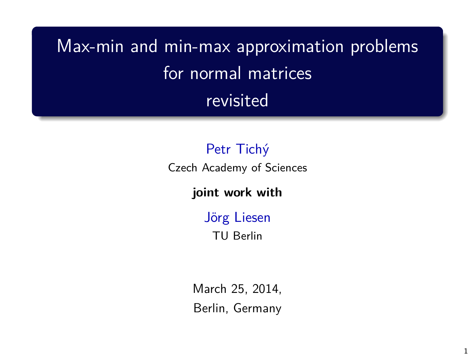Max-min and min-max approximation problems for normal matrices revisited

## Petr Tichý

Czech Academy of Sciences

### **joint work with**

Jörg Liesen TU Berlin

March 25, 2014, Berlin, Germany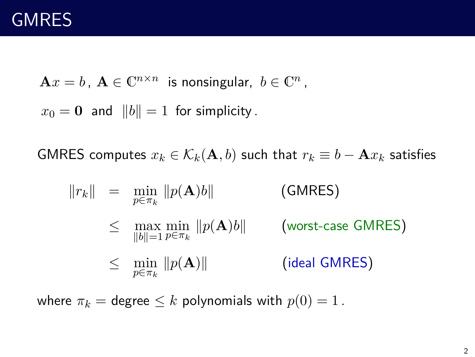$\mathbf{A}x = b$ ,  $\mathbf{A} \in \mathbb{C}^{n \times n}$  is nonsingular,  $b \in \mathbb{C}^n$ ,

 $x_0 = 0$  and  $||b|| = 1$  for simplicity.

GMRES computes  $x_k \in \mathcal{K}_k(\mathbf{A}, b)$  such that  $r_k \equiv b - \mathbf{A}x_k$  satisfies

$$
||r_k|| = \min_{p \in \pi_k} ||p(\mathbf{A})b||
$$
 (GMRES)  
\n
$$
\leq \max_{||b||=1} \min_{p \in \pi_k} ||p(\mathbf{A})b||
$$
 (worst-case GMRES)  
\n
$$
\leq \min_{p \in \pi_k} ||p(\mathbf{A})||
$$
 (ideal GMRES)

where  $\pi_k = \text{degree} \leq k$  polynomials with  $p(0) = 1$ .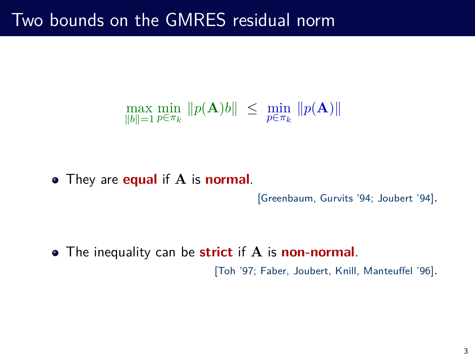$$
\max_{\|b\|=1}\min_{p\in\pi_k}\|p(\mathbf{A})b\|\ \le\ \min_{p\in\pi_k}\|p(\mathbf{A})\|
$$

They are **equal** if **A** is **normal**.

[Greenbaum, Gurvits '94; Joubert '94].

The inequality can be **strict** if **A** is **non-normal**. [Toh '97; Faber, Joubert, Knill, Manteuffel '96].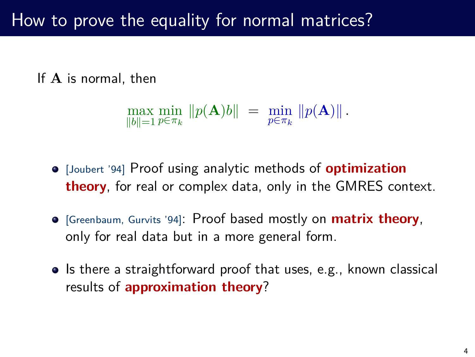# How to prove the equality for normal matrices?

If **A** is normal, then

$$
\max_{\|b\|=1} \min_{p \in \pi_k} \|p(\mathbf{A})b\| = \min_{p \in \pi_k} \|p(\mathbf{A})\|.
$$

- [Joubert '94] Proof using analytic methods of **optimization theory**, for real or complex data, only in the GMRES context.
- [Greenbaum, Gurvits '94]: Proof based mostly on **matrix theory**, only for real data but in a more general form.
- Is there a straightforward proof that uses, e.g., known classical results of **approximation theory**?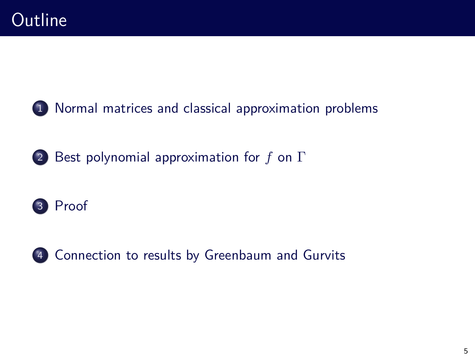[Normal matrices and classical approximation problems](#page-5-0)

[Best polynomial approximation for](#page-7-0) *f* on Γ





[Connection to results by Greenbaum and Gurvits](#page-13-0)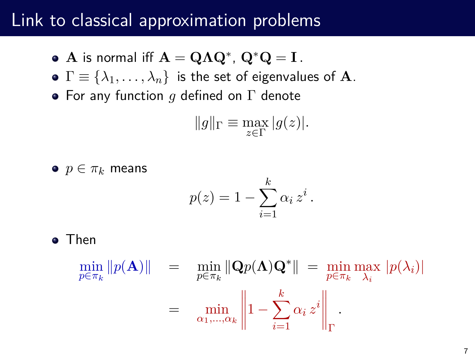## Link to classical approximation problems

- $\mathbf{A}$  is normal iff  $\mathbf{A} = \mathbf{Q} \mathbf{\Lambda} \mathbf{Q}^*$ ,  $\mathbf{Q}^* \mathbf{Q} = \mathbf{I}$ .
- $\bullet \Gamma \equiv {\lambda_1, \ldots, \lambda_n}$  is the set of eigenvalues of **A**.
- For any function *g* defined on Γ denote

$$
||g||_{\Gamma} \equiv \max_{z \in \Gamma} |g(z)|.
$$

•  $p \in \pi_k$  means

<span id="page-5-0"></span>
$$
p(z) = 1 - \sum_{i=1}^{k} \alpha_i z^i.
$$

**•** Then

$$
\min_{p \in \pi_k} ||p(\mathbf{A})|| = \min_{p \in \pi_k} ||\mathbf{Q}p(\mathbf{\Lambda})\mathbf{Q}^*|| = \min_{p \in \pi_k} \max_{\lambda_i} |p(\lambda_i)|
$$

$$
= \min_{\alpha_1, ..., \alpha_k} \left\| 1 - \sum_{i=1}^k \alpha_i z^i \right\|_{\Gamma}.
$$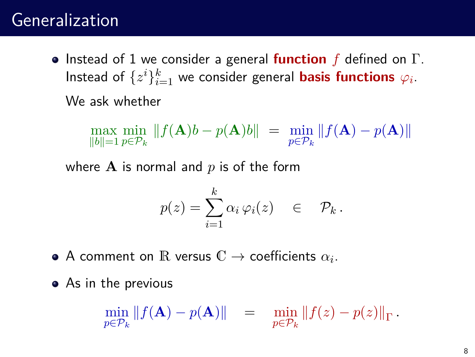## Generalization

Instead of 1 we consider a general **function** *f* defined on Γ. Instead of  $\{z^{i}\}_{i=1}^{k}$  we consider general **basis functions**  $\varphi_{i}$ . We ask whether

$$
\max_{\|b\|=1}\min_{p\in\mathcal{P}_k}\|f(\mathbf{A})b-p(\mathbf{A})b\| = \min_{p\in\mathcal{P}_k}\|f(\mathbf{A})-p(\mathbf{A})\|
$$

where **A** is normal and *p* is of the form

$$
p(z) = \sum_{i=1}^{k} \alpha_i \varphi_i(z) \in \mathcal{P}_k.
$$

- A comment on  $\mathbb R$  versus  $\mathbb C \to$  coefficients  $\alpha_i.$
- As in the previous

$$
\min_{p \in \mathcal{P}_k} \|f(\mathbf{A}) - p(\mathbf{A})\| = \min_{p \in \mathcal{P}_k} \|f(z) - p(z)\|_{\Gamma}.
$$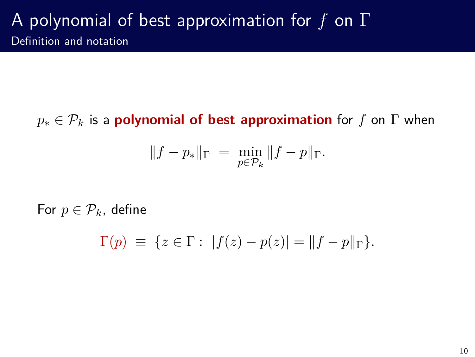$p_* \in \mathcal{P}_k$  is a **polynomial of best approximation** for *f* on  $\Gamma$  when

<span id="page-7-0"></span>
$$
||f - p_*||_{\Gamma} = \min_{p \in \mathcal{P}_k} ||f - p||_{\Gamma}.
$$

For  $p \in \mathcal{P}_k$ , define

$$
\Gamma(p) \ \equiv \ \{ z \in \Gamma : \ |f(z) - p(z)| = \|f - p\|_{\Gamma} \}.
$$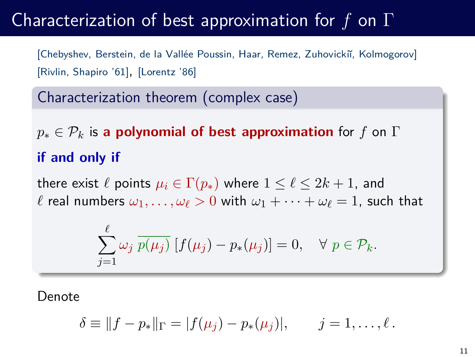## Characterization of best approximation for *f* on Γ

[Chebyshev, Berstein, de la Vallée Poussin, Haar, Remez, Zuhovicki˘ı, Kolmogorov] [Rivlin, Shapiro '61], [Lorentz '86]

Characterization theorem (complex case)

*p*<sup>∗</sup> ∈ P*<sup>k</sup>* is **a polynomial of best approximation** for *f* on Γ **if and only if**

there exist  $\ell$  points  $\mu_i \in \Gamma(p_*)$  where  $1 \leq \ell \leq 2k+1$ , and  $\ell$  real numbers  $\omega_1, \ldots, \omega_\ell > 0$  with  $\omega_1 + \cdots + \omega_\ell = 1$ , such that

$$
\sum_{j=1}^{\ell} \omega_j \overline{p(\mu_j)} [f(\mu_j) - p_*(\mu_j)] = 0, \quad \forall \ p \in \mathcal{P}_k.
$$

Denote

$$
\delta \equiv ||f - p_*||_{\Gamma} = |f(\mu_j) - p_*(\mu_j)|, \qquad j = 1, \ldots, \ell.
$$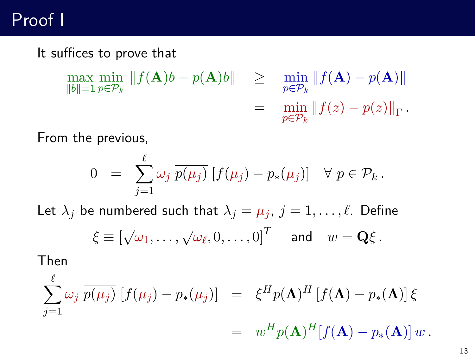# Proof I

It suffices to prove that

$$
\max_{\|b\|=1} \min_{p \in \mathcal{P}_k} \|f(\mathbf{A})b - p(\mathbf{A})b\| \geq \min_{p \in \mathcal{P}_k} \|f(\mathbf{A}) - p(\mathbf{A})\|
$$
  
= 
$$
\min_{p \in \mathcal{P}_k} \|f(z) - p(z)\|_{\Gamma}.
$$

From the previous,

<span id="page-9-0"></span>
$$
0 = \sum_{j=1}^{\ell} \omega_j \overline{p(\mu_j)} [f(\mu_j) - p_*(\mu_j)] \quad \forall \ p \in \mathcal{P}_k.
$$

Let  $\lambda_j$  be numbered such that  $\lambda_j = \mu_j$ ,  $j = 1, \ldots, \ell$ . Define  $\xi \equiv \left[ \sqrt{\omega_1}, \ldots, \sqrt{\omega_\ell}, 0, \ldots, 0 \right]^T$  and  $w = \mathbf{Q} \xi$ .

Then

$$
\sum_{j=1}^{\ell} \omega_j \overline{p(\mu_j)} [f(\mu_j) - p_*(\mu_j)] = \xi^H p(\mathbf{\Lambda})^H [f(\mathbf{\Lambda}) - p_*(\mathbf{\Lambda})] \xi
$$
  
= 
$$
w^H p(\mathbf{\Lambda})^H [f(\mathbf{\Lambda}) - p_*(\mathbf{\Lambda})] w.
$$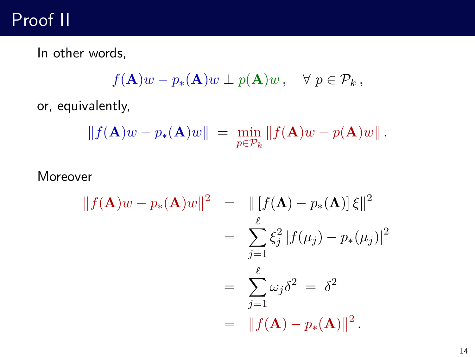# Proof II

In other words,

$$
f(\mathbf{A})w - p_*(\mathbf{A})w \perp p(\mathbf{A})w, \quad \forall \ p \in \mathcal{P}_k,
$$

or, equivalently,

$$
|| f(\mathbf{A})w - p_*(\mathbf{A})w|| = \min_{p \in \mathcal{P}_k} ||f(\mathbf{A})w - p(\mathbf{A})w||.
$$

## Moreover

$$
||f(\mathbf{A})w - p_*(\mathbf{A})w||^2 = ||[f(\mathbf{A}) - p_*(\mathbf{A})] \xi||^2
$$
  
= 
$$
\sum_{j=1}^{\ell} \xi_j^2 |f(\mu_j) - p_*(\mu_j)|^2
$$
  
= 
$$
\sum_{j=1}^{\ell} \omega_j \delta^2 = \delta^2
$$
  
= 
$$
||f(\mathbf{A}) - p_*(\mathbf{A})||^2.
$$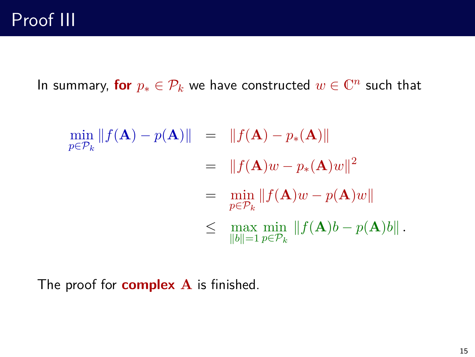# Proof III

In summary, for  $p_* \in \mathcal{P}_k$  we have constructed  $w \in \mathbb{C}^n$  such that

$$
\min_{p \in \mathcal{P}_k} ||f(\mathbf{A}) - p(\mathbf{A})|| = ||f(\mathbf{A}) - p_*(\mathbf{A})||
$$
  
\n
$$
= ||f(\mathbf{A})w - p_*(\mathbf{A})w||^2
$$
  
\n
$$
= \min_{p \in \mathcal{P}_k} ||f(\mathbf{A})w - p(\mathbf{A})w||
$$
  
\n
$$
\leq \max_{||b||=1} \min_{p \in \mathcal{P}_k} ||f(\mathbf{A})b - p(\mathbf{A})b||.
$$

The proof for **complex A** is finished.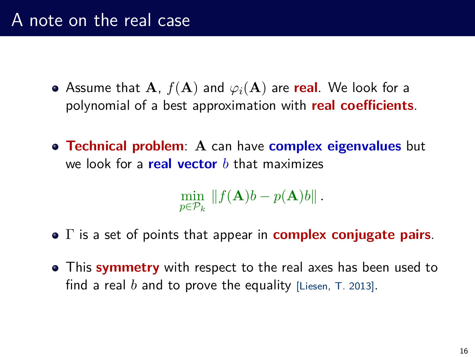- Assume that  $A$ ,  $f(A)$  and  $\varphi_i(A)$  are real. We look for a polynomial of a best approximation with **real coefficients**.
- **Technical problem**: **A** can have **complex eigenvalues** but we look for a **real vector** *b* that maximizes

$$
\min_{p \in \mathcal{P}_k} \|f(\mathbf{A})b - p(\mathbf{A})b\|.
$$

- Γ is a set of points that appear in **complex conjugate pairs**.
- This **symmetry** with respect to the real axes has been used to find a real  $b$  and to prove the equality [Liesen,  $T. 2013$ ].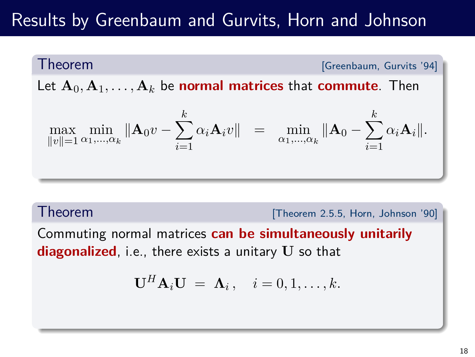# Results by Greenbaum and Gurvits, Horn and Johnson

Theorem **Extending Contract Contract Contract Contract Contract Contract Contract Contract Contract Contract Contract Contract Contract Contract Contract Contract Contract Contract Contract Contract Contract Contract Contr** 

Let  $A_0, A_1, \ldots, A_k$  be **normal matrices** that **commute**. Then

$$
\max_{\|v\|=1} \min_{\alpha_1,\dots,\alpha_k} \|\mathbf{A}_0 v - \sum_{i=1}^k \alpha_i \mathbf{A}_i v\| = \min_{\alpha_1,\dots,\alpha_k} \|\mathbf{A}_0 - \sum_{i=1}^k \alpha_i \mathbf{A}_i\|.
$$

Theorem **1991** Theorem 2.5.5, Horn, Johnson '90]

Commuting normal matrices **can be simultaneously unitarily diagonalized**, i.e., there exists a unitary **U** so that

<span id="page-13-0"></span>
$$
\mathbf{U}^H \mathbf{A}_i \mathbf{U} = \mathbf{\Lambda}_i, \quad i = 0, 1, \dots, k.
$$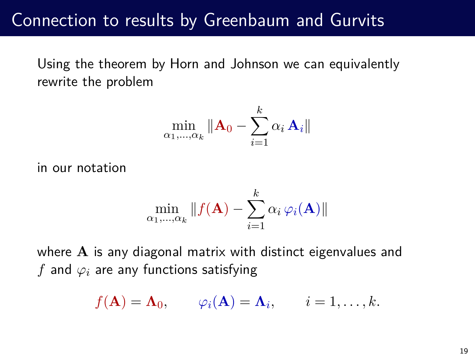## Connection to results by Greenbaum and Gurvits

Using the theorem by Horn and Johnson we can equivalently rewrite the problem

$$
\min_{\alpha_1,\dots,\alpha_k} \|\mathbf{A}_0 - \sum_{i=1}^k \alpha_i \, \mathbf{A}_i\|
$$

in our notation

$$
\min_{\alpha_1,\dots,\alpha_k} \|f(\mathbf{A}) - \sum_{i=1}^k \alpha_i \,\varphi_i(\mathbf{A})\|
$$

where **A** is any diagonal matrix with distinct eigenvalues and *f* and *ϕ<sup>i</sup>* are any functions satisfying

$$
f(\mathbf{A}) = \mathbf{\Lambda}_0, \qquad \varphi_i(\mathbf{A}) = \mathbf{\Lambda}_i, \qquad i = 1, \ldots, k.
$$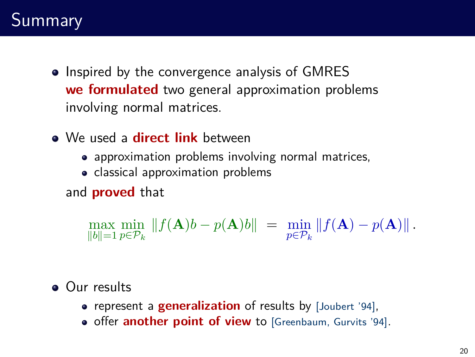- Inspired by the convergence analysis of GMRES **we formulated** two general approximation problems involving normal matrices.
- We used a **direct link** between
	- approximation problems involving normal matrices,
	- classical approximation problems

and **proved** that

 $\max_{\|b\|=1} \min_{p\in\mathcal{P}_k} \|f(\mathbf{A})b - p(\mathbf{A})b\| = \min_{p\in\mathcal{P}_k} \|f(\mathbf{A}) - p(\mathbf{A})\|$ .

**Our results** 

- represent a **generalization** of results by [Joubert '94],
- **o** offer **another point of view** to [Greenbaum, Gurvits '94].